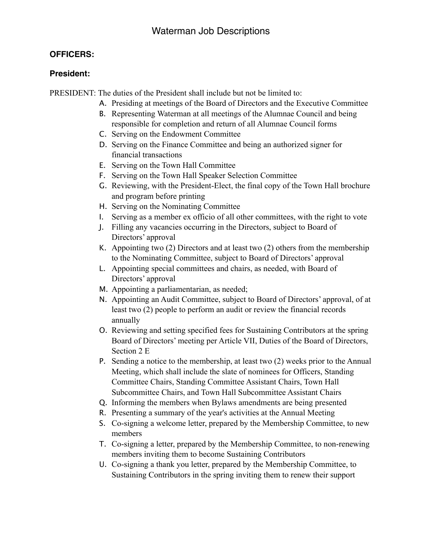# **OFFICERS:**

# **President:**

PRESIDENT: The duties of the President shall include but not be limited to:

- A. Presiding at meetings of the Board of Directors and the Executive Committee
- B. Representing Waterman at all meetings of the Alumnae Council and being responsible for completion and return of all Alumnae Council forms
- C. Serving on the Endowment Committee
- D. Serving on the Finance Committee and being an authorized signer for financial transactions
- E. Serving on the Town Hall Committee
- F. Serving on the Town Hall Speaker Selection Committee
- G. Reviewing, with the President-Elect, the final copy of the Town Hall brochure and program before printing
- H. Serving on the Nominating Committee
- I. Serving as a member ex officio of all other committees, with the right to vote
- J. Filling any vacancies occurring in the Directors, subject to Board of Directors' approval
- K. Appointing two (2) Directors and at least two (2) others from the membership to the Nominating Committee, subject to Board of Directors' approval
- L. Appointing special committees and chairs, as needed, with Board of Directors' approval
- M. Appointing a parliamentarian, as needed;
- N. Appointing an Audit Committee, subject to Board of Directors' approval, of at least two (2) people to perform an audit or review the financial records annually
- O. Reviewing and setting specified fees for Sustaining Contributors at the spring Board of Directors' meeting per Article VII, Duties of the Board of Directors, Section 2 E
- P. Sending a notice to the membership, at least two (2) weeks prior to the Annual Meeting, which shall include the slate of nominees for Officers, Standing Committee Chairs, Standing Committee Assistant Chairs, Town Hall Subcommittee Chairs, and Town Hall Subcommittee Assistant Chairs
- Q. Informing the members when Bylaws amendments are being presented
- R. Presenting a summary of the year's activities at the Annual Meeting
- S. Co-signing a welcome letter, prepared by the Membership Committee, to new members
- T. Co-signing a letter, prepared by the Membership Committee, to non-renewing members inviting them to become Sustaining Contributors
- U. Co-signing a thank you letter, prepared by the Membership Committee, to Sustaining Contributors in the spring inviting them to renew their support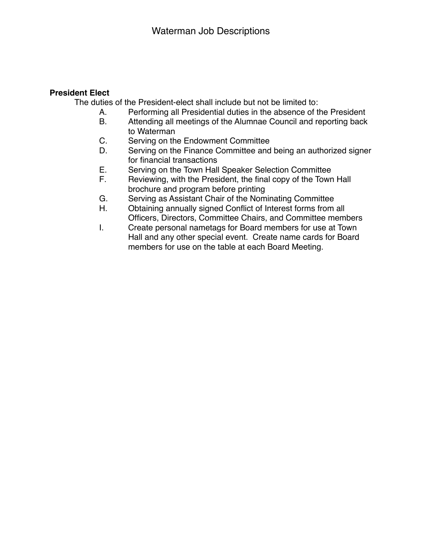### **President Elect**

The duties of the President-elect shall include but not be limited to:

- A. Performing all Presidential duties in the absence of the President
- B. Attending all meetings of the Alumnae Council and reporting back to Waterman
- C. Serving on the Endowment Committee
- D. Serving on the Finance Committee and being an authorized signer for financial transactions
- E. Serving on the Town Hall Speaker Selection Committee
- F. Reviewing, with the President, the final copy of the Town Hall brochure and program before printing
- G. Serving as Assistant Chair of the Nominating Committee
- H. Obtaining annually signed Conflict of Interest forms from all Officers, Directors, Committee Chairs, and Committee members
- I. Create personal nametags for Board members for use at Town Hall and any other special event. Create name cards for Board members for use on the table at each Board Meeting.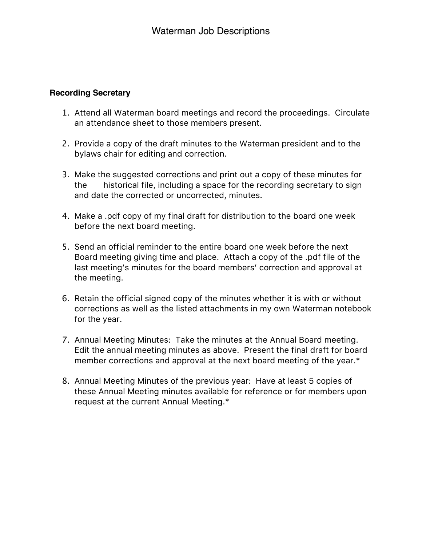# **Recording Secretary**

- 1. Attend all Waterman board meetings and record the proceedings. Circulate an attendance sheet to those members present.
- 2. Provide a copy of the draft minutes to the Waterman president and to the bylaws chair for editing and correction.
- 3. Make the suggested corrections and print out a copy of these minutes for the historical file, including a space for the recording secretary to sign and date the corrected or uncorrected, minutes.
- 4. Make a .pdf copy of my final draft for distribution to the board one week before the next board meeting.
- 5. Send an official reminder to the entire board one week before the next Board meeting giving time and place. Attach a copy of the .pdf file of the last meeting's minutes for the board members' correction and approval at the meeting.
- 6. Retain the official signed copy of the minutes whether it is with or without corrections as well as the listed attachments in my own Waterman notebook for the year.
- 7. Annual Meeting Minutes: Take the minutes at the Annual Board meeting. Edit the annual meeting minutes as above. Present the final draft for board member corrections and approval at the next board meeting of the year.\*
- 8. Annual Meeting Minutes of the previous year: Have at least 5 copies of these Annual Meeting minutes available for reference or for members upon request at the current Annual Meeting.\*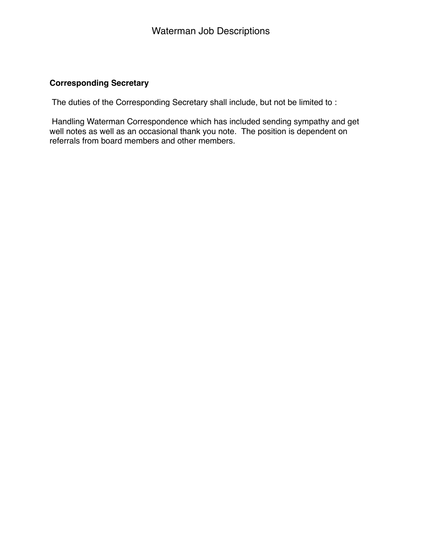# **Corresponding Secretary**

The duties of the Corresponding Secretary shall include, but not be limited to :

 Handling Waterman Correspondence which has included sending sympathy and get well notes as well as an occasional thank you note. The position is dependent on referrals from board members and other members.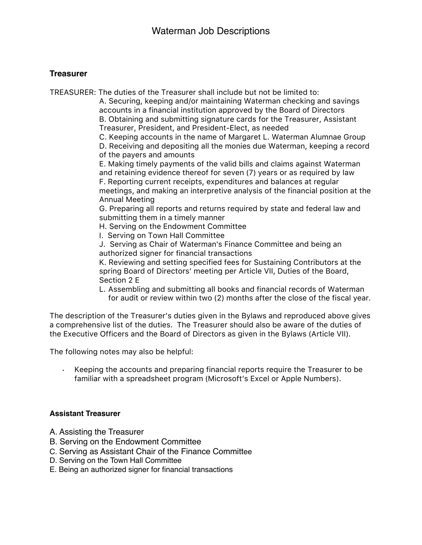### **Treasurer**

TREASURER: The duties of the Treasurer shall include but not be limited to:

A. Securing, keeping and/or maintaining Waterman checking and savings accounts in a financial institution approved by the Board of Directors B. Obtaining and submitting signature cards for the Treasurer, Assistant

Treasurer, President, and President-Elect, as needed

C. Keeping accounts in the name of Margaret L. Waterman Alumnae Group

D. Receiving and depositing all the monies due Waterman, keeping a record of the payers and amounts

E. Making timely payments of the valid bills and claims against Waterman and retaining evidence thereof for seven (7) years or as required by law F. Reporting current receipts, expenditures and balances at regular meetings, and making an interpretive analysis of the financial position at the Annual Meeting

G. Preparing all reports and returns required by state and federal law and submitting them in a timely manner

H. Serving on the Endowment Committee

I. Serving on Town Hall Committee

J. Serving as Chair of Waterman's Finance Committee and being an authorized signer for financial transactions

K. Reviewing and setting specified fees for Sustaining Contributors at the spring Board of Directors' meeting per Article VII, Duties of the Board, Section 2 E

L. Assembling and submitting all books and financial records of Waterman for audit or review within two (2) months after the close of the fiscal year.

The description of the Treasurer's duties given in the Bylaws and reproduced above gives a comprehensive list of the duties. The Treasurer should also be aware of the duties of the Executive Officers and the Board of Directors as given in the Bylaws (Article VII).

The following notes may also be helpful:

Keeping the accounts and preparing financial reports require the Treasurer to be familiar with a spreadsheet program (Microsoft's Excel or Apple Numbers).

### **Assistant Treasurer**

- A. Assisting the Treasurer
- B. Serving on the Endowment Committee
- C. Serving as Assistant Chair of the Finance Committee
- D. Serving on the Town Hall Committee
- E. Being an authorized signer for financial transactions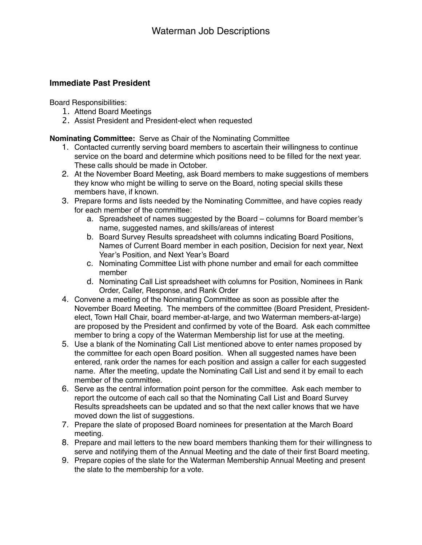### **Immediate Past President**

Board Responsibilities:

- 1. Attend Board Meetings
- 2. Assist President and President-elect when requested

**Nominating Committee:** Serve as Chair of the Nominating Committee

- 1. Contacted currently serving board members to ascertain their willingness to continue service on the board and determine which positions need to be filled for the next year. These calls should be made in October.
- 2. At the November Board Meeting, ask Board members to make suggestions of members they know who might be willing to serve on the Board, noting special skills these members have, if known.
- 3. Prepare forms and lists needed by the Nominating Committee, and have copies ready for each member of the committee:
	- a. Spreadsheet of names suggested by the Board columns for Board member's name, suggested names, and skills/areas of interest
	- b. Board Survey Results spreadsheet with columns indicating Board Positions, Names of Current Board member in each position, Decision for next year, Next Year's Position, and Next Year's Board
	- c. Nominating Committee List with phone number and email for each committee member
	- d. Nominating Call List spreadsheet with columns for Position, Nominees in Rank Order, Caller, Response, and Rank Order
- 4. Convene a meeting of the Nominating Committee as soon as possible after the November Board Meeting. The members of the committee (Board President, Presidentelect, Town Hall Chair, board member-at-large, and two Waterman members-at-large) are proposed by the President and confirmed by vote of the Board. Ask each committee member to bring a copy of the Waterman Membership list for use at the meeting.
- 5. Use a blank of the Nominating Call List mentioned above to enter names proposed by the committee for each open Board position. When all suggested names have been entered, rank order the names for each position and assign a caller for each suggested name. After the meeting, update the Nominating Call List and send it by email to each member of the committee.
- 6. Serve as the central information point person for the committee. Ask each member to report the outcome of each call so that the Nominating Call List and Board Survey Results spreadsheets can be updated and so that the next caller knows that we have moved down the list of suggestions.
- 7. Prepare the slate of proposed Board nominees for presentation at the March Board meeting.
- 8. Prepare and mail letters to the new board members thanking them for their willingness to serve and notifying them of the Annual Meeting and the date of their first Board meeting.
- 9. Prepare copies of the slate for the Waterman Membership Annual Meeting and present the slate to the membership for a vote.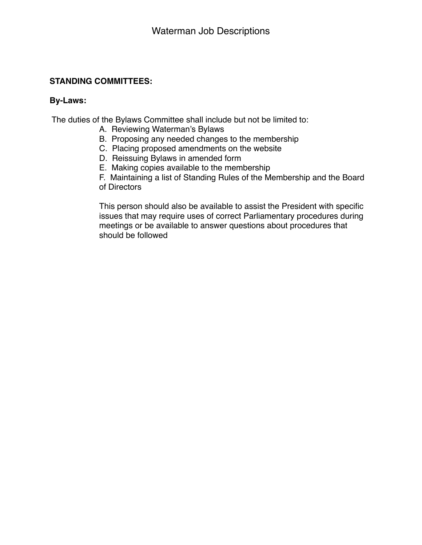# **STANDING COMMITTEES:**

### **By-Laws:**

The duties of the Bylaws Committee shall include but not be limited to:

- A. Reviewing Waterman's Bylaws
- B. Proposing any needed changes to the membership
- C. Placing proposed amendments on the website
- D. Reissuing Bylaws in amended form
- E. Making copies available to the membership
- F. Maintaining a list of Standing Rules of the Membership and the Board of Directors

This person should also be available to assist the President with specific issues that may require uses of correct Parliamentary procedures during meetings or be available to answer questions about procedures that should be followed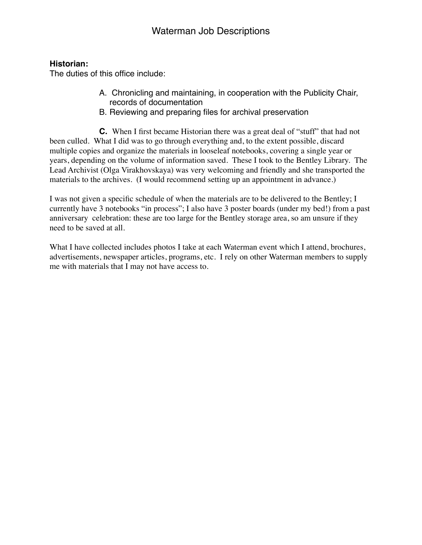# **Historian:**

The duties of this office include:

- A. Chronicling and maintaining, in cooperation with the Publicity Chair, records of documentation
- B. Reviewing and preparing files for archival preservation

**C.** When I first became Historian there was a great deal of "stuff" that had not been culled. What I did was to go through everything and, to the extent possible, discard multiple copies and organize the materials in looseleaf notebooks, covering a single year or years, depending on the volume of information saved. These I took to the Bentley Library. The Lead Archivist (Olga Virakhovskaya) was very welcoming and friendly and she transported the materials to the archives. (I would recommend setting up an appointment in advance.)

I was not given a specific schedule of when the materials are to be delivered to the Bentley; I currently have 3 notebooks "in process"; I also have 3 poster boards (under my bed!) from a past anniversary celebration: these are too large for the Bentley storage area, so am unsure if they need to be saved at all.

What I have collected includes photos I take at each Waterman event which I attend, brochures, advertisements, newspaper articles, programs, etc. I rely on other Waterman members to supply me with materials that I may not have access to.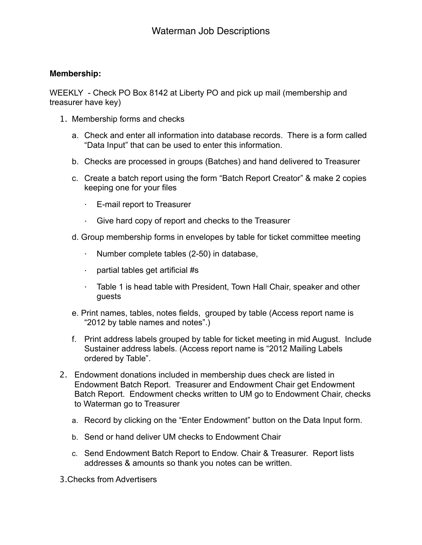### **Membership:**

WEEKLY - Check PO Box 8142 at Liberty PO and pick up mail (membership and treasurer have key)

- 1. Membership forms and checks
	- a. Check and enter all information into database records. There is a form called "Data Input" that can be used to enter this information.
	- b. Checks are processed in groups (Batches) and hand delivered to Treasurer
	- c. Create a batch report using the form "Batch Report Creator" & make 2 copies keeping one for your files
		- · E-mail report to Treasurer
		- · Give hard copy of report and checks to the Treasurer
	- d. Group membership forms in envelopes by table for ticket committee meeting
		- · Number complete tables (2-50) in database,
		- · partial tables get artificial #s
		- · Table 1 is head table with President, Town Hall Chair, speaker and other guests
	- e. Print names, tables, notes fields, grouped by table (Access report name is "2012 by table names and notes".)
	- f. Print address labels grouped by table for ticket meeting in mid August. Include Sustainer address labels. (Access report name is "2012 Mailing Labels ordered by Table".
- 2. Endowment donations included in membership dues check are listed in Endowment Batch Report. Treasurer and Endowment Chair get Endowment Batch Report. Endowment checks written to UM go to Endowment Chair, checks to Waterman go to Treasurer
	- a. Record by clicking on the "Enter Endowment" button on the Data Input form.
	- b. Send or hand deliver UM checks to Endowment Chair
	- c. Send Endowment Batch Report to Endow. Chair & Treasurer. Report lists addresses & amounts so thank you notes can be written.

3.Checks from Advertisers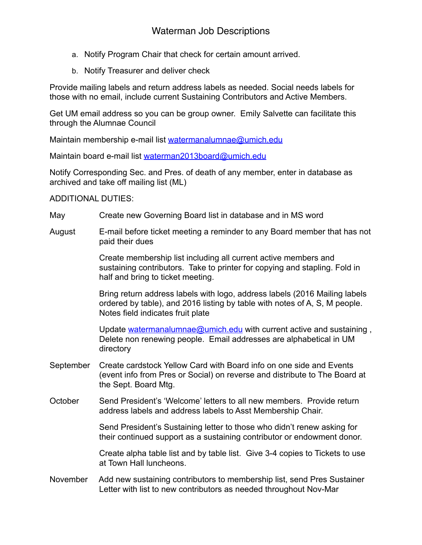- a. Notify Program Chair that check for certain amount arrived.
- b. Notify Treasurer and deliver check

Provide mailing labels and return address labels as needed. Social needs labels for those with no email, include current Sustaining Contributors and Active Members.

Get UM email address so you can be group owner. Emily Salvette can facilitate this through the Alumnae Council

Maintain membership e-mail list [watermanalumnae@umich.edu](mailto:watermanalumnae@umich.edu)

Maintain board e-mail list [waterman2013board@umich.edu](mailto:waterman2013board@umich.edu)

Notify Corresponding Sec. and Pres. of death of any member, enter in database as archived and take off mailing list (ML)

# ADDITIONAL DUTIES:

- May Create new Governing Board list in database and in MS word
- August E-mail before ticket meeting a reminder to any Board member that has not paid their dues

 Create membership list including all current active members and sustaining contributors. Take to printer for copying and stapling. Fold in half and bring to ticket meeting.

 Bring return address labels with logo, address labels (2016 Mailing labels ordered by table), and 2016 listing by table with notes of A, S, M people. Notes field indicates fruit plate

Update [watermanalumnae@umich.edu](mailto:watermanalumnae@umich.edu) with current active and sustaining, Delete non renewing people. Email addresses are alphabetical in UM directory

- September Create cardstock Yellow Card with Board info on one side and Events (event info from Pres or Social) on reverse and distribute to The Board at the Sept. Board Mtg.
- October Send President's 'Welcome' letters to all new members. Provide return address labels and address labels to Asst Membership Chair.

 Send President's Sustaining letter to those who didn't renew asking for their continued support as a sustaining contributor or endowment donor.

 Create alpha table list and by table list. Give 3-4 copies to Tickets to use at Town Hall luncheons.

November Add new sustaining contributors to membership list, send Pres Sustainer Letter with list to new contributors as needed throughout Nov-Mar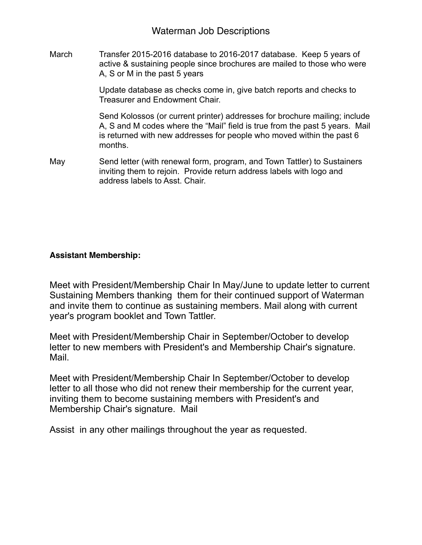March Transfer 2015-2016 database to 2016-2017 database. Keep 5 years of active & sustaining people since brochures are mailed to those who were A, S or M in the past 5 years

> Update database as checks come in, give batch reports and checks to Treasurer and Endowment Chair.

 Send Kolossos (or current printer) addresses for brochure mailing; include A, S and M codes where the "Mail" field is true from the past 5 years. Mail is returned with new addresses for people who moved within the past 6 months.

May Send letter (with renewal form, program, and Town Tattler) to Sustainers inviting them to rejoin. Provide return address labels with logo and address labels to Asst. Chair.

# **Assistant Membership:**

Meet with President/Membership Chair In May/June to update letter to current Sustaining Members thanking them for their continued support of Waterman and invite them to continue as sustaining members. Mail along with current year's program booklet and Town Tattler.

Meet with President/Membership Chair in September/October to develop letter to new members with President's and Membership Chair's signature. Mail.

Meet with President/Membership Chair In September/October to develop letter to all those who did not renew their membership for the current year, inviting them to become sustaining members with President's and Membership Chair's signature. Mail

Assist in any other mailings throughout the year as requested.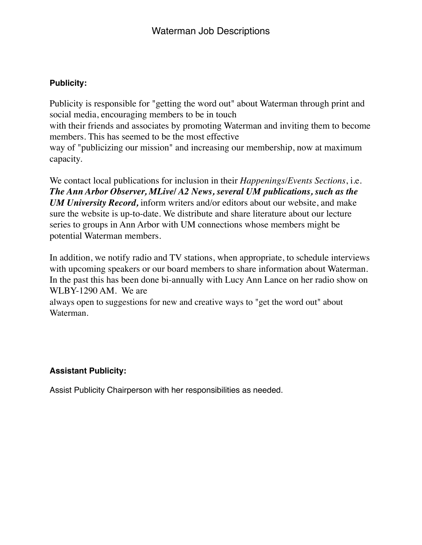# **Publicity:**

Publicity is responsible for "getting the word out" about Waterman through print and social media, encouraging members to be in touch with their friends and associates by promoting Waterman and inviting them to become members. This has seemed to be the most effective way of "publicizing our mission" and increasing our membership, now at maximum capacity.

We contact local publications for inclusion in their *Happenings/Events Sections*, i.e. *The Ann Arbor Observer, MLive/ A2 News, several UM publications, such as the UM University Record,* inform writers and/or editors about our website, and make sure the website is up-to-date. We distribute and share literature about our lecture series to groups in Ann Arbor with UM connections whose members might be potential Waterman members.

In addition, we notify radio and TV stations, when appropriate, to schedule interviews with upcoming speakers or our board members to share information about Waterman. In the past this has been done bi-annually with Lucy Ann Lance on her radio show on WLBY-1290 AM. We are

always open to suggestions for new and creative ways to "get the word out" about Waterman.

# **Assistant Publicity:**

Assist Publicity Chairperson with her responsibilities as needed.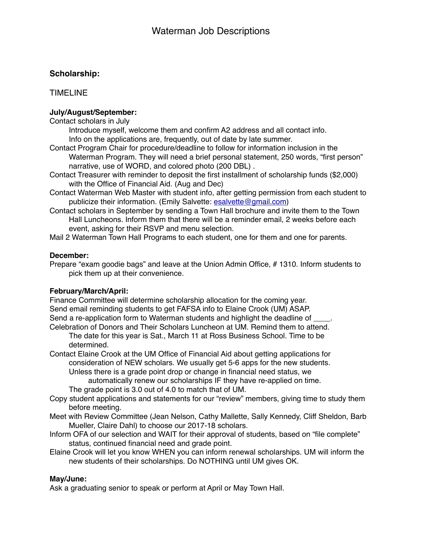# **Scholarship:**

TIMELINE

#### **July/August/September:**

Contact scholars in July

Introduce myself, welcome them and confirm A2 address and all contact info. Info on the applications are, frequently, out of date by late summer.

- Contact Program Chair for procedure/deadline to follow for information inclusion in the Waterman Program. They will need a brief personal statement, 250 words, "first person" narrative, use of WORD, and colored photo (200 DBL) .
- Contact Treasurer with reminder to deposit the first installment of scholarship funds (\$2,000) with the Office of Financial Aid. (Aug and Dec)
- Contact Waterman Web Master with student info, after getting permission from each student to publicize their information. (Emily Salvette: [esalvette@gmail.com\)](mailto:esalvette@gmail.com)
- Contact scholars in September by sending a Town Hall brochure and invite them to the Town Hall Luncheons. Inform them that there will be a reminder email, 2 weeks before each event, asking for their RSVP and menu selection.

Mail 2 Waterman Town Hall Programs to each student, one for them and one for parents.

#### **December:**

Prepare "exam goodie bags" and leave at the Union Admin Office, # 1310. Inform students to pick them up at their convenience.

#### **February/March/April:**

Finance Committee will determine scholarship allocation for the coming year. Send email reminding students to get FAFSA info to Elaine Crook (UM) ASAP. Send a re-application form to Waterman students and highlight the deadline of Celebration of Donors and Their Scholars Luncheon at UM. Remind them to attend.

The date for this year is Sat., March 11 at Ross Business School. Time to be determined.

Contact Elaine Crook at the UM Office of Financial Aid about getting applications for consideration of NEW scholars. We usually get 5-6 apps for the new students. Unless there is a grade point drop or change in financial need status, we

automatically renew our scholarships IF they have re-applied on time. The grade point is 3.0 out of 4.0 to match that of UM.

- Copy student applications and statements for our "review" members, giving time to study them before meeting.
- Meet with Review Committee (Jean Nelson, Cathy Mallette, Sally Kennedy, Cliff Sheldon, Barb Mueller, Claire Dahl) to choose our 2017-18 scholars.
- Inform OFA of our selection and WAIT for their approval of students, based on "file complete" status, continued financial need and grade point.
- Elaine Crook will let you know WHEN you can inform renewal scholarships. UM will inform the new students of their scholarships. Do NOTHING until UM gives OK.

#### **May/June:**

Ask a graduating senior to speak or perform at April or May Town Hall.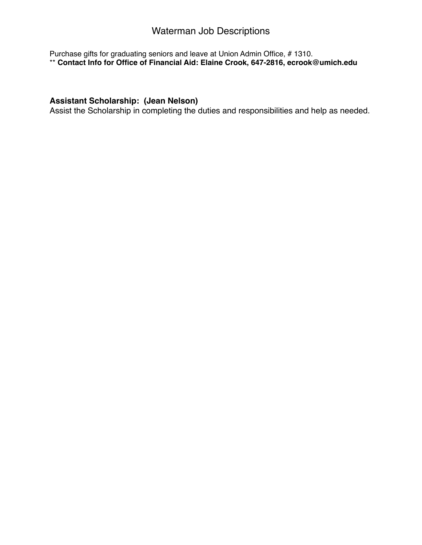# Waterman Job Descriptions

Purchase gifts for graduating seniors and leave at Union Admin Office, # 1310. \*\* **Contact Info for Office of Financial Aid: Elaine Crook, 647-2816, ecrook@umich.edu**

# **Assistant Scholarship: (Jean Nelson)**

Assist the Scholarship in completing the duties and responsibilities and help as needed.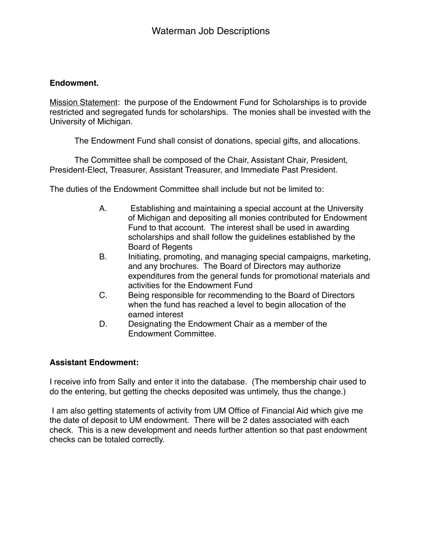### **Endowment.**

Mission Statement: the purpose of the Endowment Fund for Scholarships is to provide restricted and segregated funds for scholarships. The monies shall be invested with the University of Michigan.

The Endowment Fund shall consist of donations, special gifts, and allocations.

The Committee shall be composed of the Chair, Assistant Chair, President, President-Elect, Treasurer, Assistant Treasurer, and Immediate Past President.

The duties of the Endowment Committee shall include but not be limited to:

- A. Establishing and maintaining a special account at the University of Michigan and depositing all monies contributed for Endowment Fund to that account. The interest shall be used in awarding scholarships and shall follow the guidelines established by the Board of Regents
- B. Initiating, promoting, and managing special campaigns, marketing, and any brochures. The Board of Directors may authorize expenditures from the general funds for promotional materials and activities for the Endowment Fund
- C. Being responsible for recommending to the Board of Directors when the fund has reached a level to begin allocation of the earned interest
- D. Designating the Endowment Chair as a member of the Endowment Committee.

# **Assistant Endowment:**

I receive info from Sally and enter it into the database. (The membership chair used to do the entering, but getting the checks deposited was untimely, thus the change.)

I am also getting statements of activity from UM Office of Financial Aid which give me the date of deposit to UM endowment. There will be 2 dates associated with each check. This is a new development and needs further attention so that past endowment checks can be totaled correctly.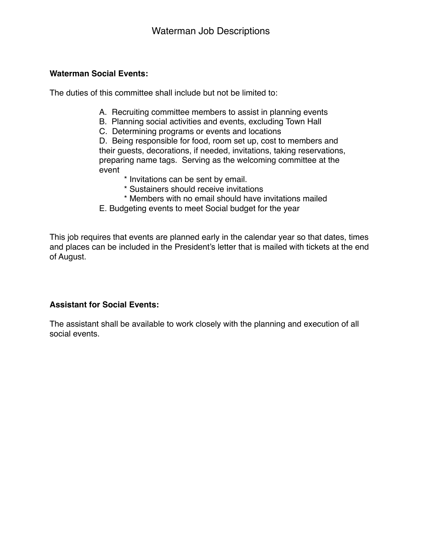### **Waterman Social Events:**

The duties of this committee shall include but not be limited to:

- A. Recruiting committee members to assist in planning events
- B. Planning social activities and events, excluding Town Hall
- C. Determining programs or events and locations

D. Being responsible for food, room set up, cost to members and their guests, decorations, if needed, invitations, taking reservations, preparing name tags. Serving as the welcoming committee at the event

- \* Invitations can be sent by email.
	- \* Sustainers should receive invitations
	- \* Members with no email should have invitations mailed
- E. Budgeting events to meet Social budget for the year

This job requires that events are planned early in the calendar year so that dates, times and places can be included in the President's letter that is mailed with tickets at the end of August.

# **Assistant for Social Events:**

The assistant shall be available to work closely with the planning and execution of all social events.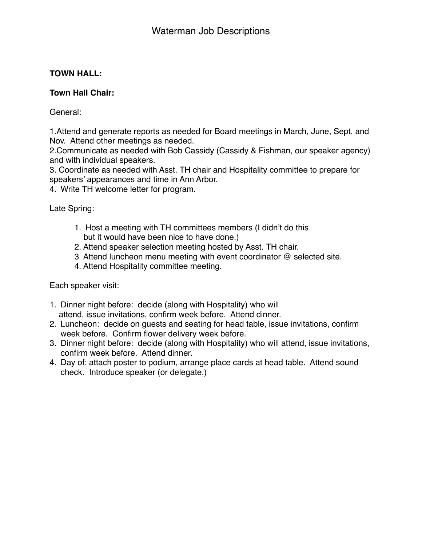# **TOWN HALL:**

# **Town Hall Chair:**

General:

1.Attend and generate reports as needed for Board meetings in March, June, Sept. and Nov. Attend other meetings as needed.

2.Communicate as needed with Bob Cassidy (Cassidy & Fishman, our speaker agency) and with individual speakers.

3. Coordinate as needed with Asst. TH chair and Hospitality committee to prepare for speakers' appearances and time in Ann Arbor.

4. Write TH welcome letter for program.

Late Spring:

- 1. Host a meeting with TH committees members (I didn't do this but it would have been nice to have done.)
- 2. Attend speaker selection meeting hosted by Asst. TH chair.
- 3 Attend luncheon menu meeting with event coordinator @ selected site.
- 4. Attend Hospitality committee meeting.

Each speaker visit:

- 1. Dinner night before: decide (along with Hospitality) who will attend, issue invitations, confirm week before. Attend dinner.
- 2. Luncheon: decide on guests and seating for head table, issue invitations, confirm week before. Confirm flower delivery week before.
- 3. Dinner night before: decide (along with Hospitality) who will attend, issue invitations, confirm week before. Attend dinner.
- 4. Day of: attach poster to podium, arrange place cards at head table. Attend sound check. Introduce speaker (or delegate.)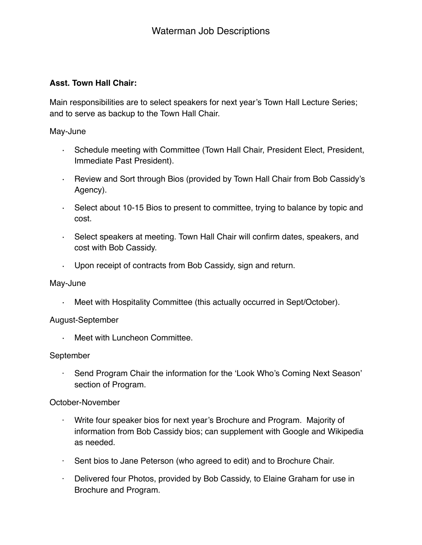### **Asst. Town Hall Chair:**

Main responsibilities are to select speakers for next year's Town Hall Lecture Series; and to serve as backup to the Town Hall Chair.

May-June

- · Schedule meeting with Committee (Town Hall Chair, President Elect, President, Immediate Past President).
- · Review and Sort through Bios (provided by Town Hall Chair from Bob Cassidy's Agency).
- · Select about 10-15 Bios to present to committee, trying to balance by topic and cost.
- · Select speakers at meeting. Town Hall Chair will confirm dates, speakers, and cost with Bob Cassidy.
- · Upon receipt of contracts from Bob Cassidy, sign and return.

### May-June

· Meet with Hospitality Committee (this actually occurred in Sept/October).

### August-September

Meet with Luncheon Committee.

### September

Send Program Chair the information for the 'Look Who's Coming Next Season' section of Program.

### October-November

- Write four speaker bios for next year's Brochure and Program. Majority of information from Bob Cassidy bios; can supplement with Google and Wikipedia as needed.
- · Sent bios to Jane Peterson (who agreed to edit) and to Brochure Chair.
- · Delivered four Photos, provided by Bob Cassidy, to Elaine Graham for use in Brochure and Program.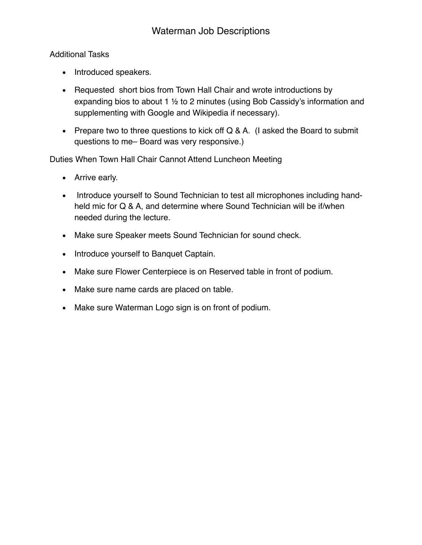# Additional Tasks

- Introduced speakers.
- Requested short bios from Town Hall Chair and wrote introductions by expanding bios to about 1 ½ to 2 minutes (using Bob Cassidy's information and supplementing with Google and Wikipedia if necessary).
- Prepare two to three questions to kick off Q & A. (I asked the Board to submit questions to me– Board was very responsive.)

Duties When Town Hall Chair Cannot Attend Luncheon Meeting

- Arrive early.
- Introduce yourself to Sound Technician to test all microphones including handheld mic for Q & A, and determine where Sound Technician will be if/when needed during the lecture.
- Make sure Speaker meets Sound Technician for sound check.
- Introduce yourself to Banquet Captain.
- Make sure Flower Centerpiece is on Reserved table in front of podium.
- Make sure name cards are placed on table.
- Make sure Waterman Logo sign is on front of podium.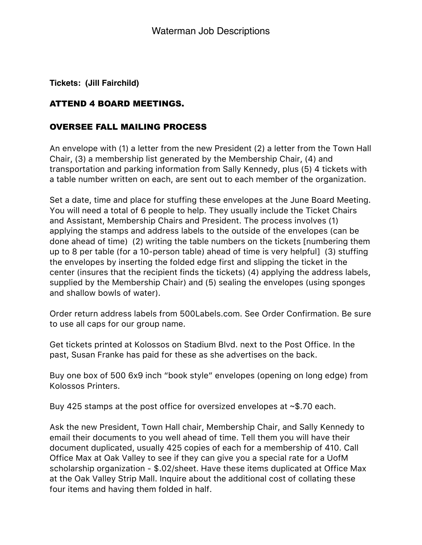**Tickets: (Jill Fairchild)**

# ATTEND 4 BOARD MEETINGS.

# OVERSEE FALL MAILING PROCESS

An envelope with (1) a letter from the new President (2) a letter from the Town Hall Chair, (3) a membership list generated by the Membership Chair, (4) and transportation and parking information from Sally Kennedy, plus (5) 4 tickets with a table number written on each, are sent out to each member of the organization.

Set a date, time and place for stuffing these envelopes at the June Board Meeting. You will need a total of 6 people to help. They usually include the Ticket Chairs and Assistant, Membership Chairs and President. The process involves (1) applying the stamps and address labels to the outside of the envelopes (can be done ahead of time) (2) writing the table numbers on the tickets [numbering them up to 8 per table (for a 10-person table) ahead of time is very helpful] (3) stuffing the envelopes by inserting the folded edge first and slipping the ticket in the center (insures that the recipient finds the tickets) (4) applying the address labels, supplied by the Membership Chair) and (5) sealing the envelopes (using sponges and shallow bowls of water).

Order return address labels from 500Labels.com. See Order Confirmation. Be sure to use all caps for our group name.

Get tickets printed at Kolossos on Stadium Blvd. next to the Post Office. In the past, Susan Franke has paid for these as she advertises on the back.

Buy one box of 500 6x9 inch "book style" envelopes (opening on long edge) from Kolossos Printers.

Buy 425 stamps at the post office for oversized envelopes at ~\$.70 each.

Ask the new President, Town Hall chair, Membership Chair, and Sally Kennedy to email their documents to you well ahead of time. Tell them you will have their document duplicated, usually 425 copies of each for a membership of 410. Call Office Max at Oak Valley to see if they can give you a special rate for a UofM scholarship organization - \$.02/sheet. Have these items duplicated at Office Max at the Oak Valley Strip Mall. Inquire about the additional cost of collating these four items and having them folded in half.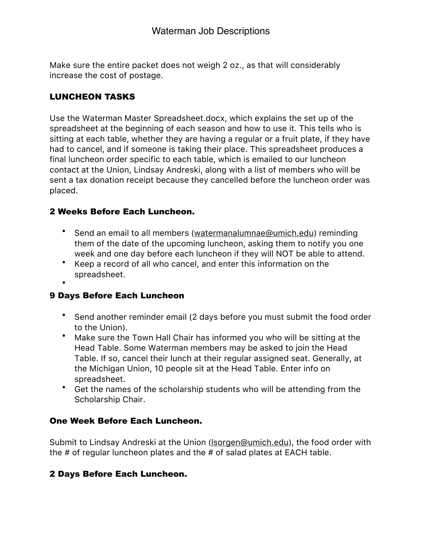Make sure the entire packet does not weigh 2 oz., as that will considerably increase the cost of postage.

# LUNCHEON TASKS

Use the Waterman Master Spreadsheet.docx, which explains the set up of the spreadsheet at the beginning of each season and how to use it. This tells who is sitting at each table, whether they are having a regular or a fruit plate, if they have had to cancel, and if someone is taking their place. This spreadsheet produces a final luncheon order specific to each table, which is emailed to our luncheon contact at the Union, Lindsay Andreski, along with a list of members who will be sent a tax donation receipt because they cancelled before the luncheon order was placed.

# 2 Weeks Before Each Luncheon.

- Send an email to all members ([watermanalumnae@umich.edu](mailto:watermanalumnae@umich.edu)) reminding them of the date of the upcoming luncheon, asking them to notify you one week and one day before each luncheon if they will NOT be able to attend.
- Keep a record of all who cancel, and enter this information on the spreadsheet.
- •

# 9 Days Before Each Luncheon

- Send another reminder email (2 days before you must submit the food order to the Union).
- Make sure the Town Hall Chair has informed you who will be sitting at the Head Table. Some Waterman members may be asked to join the Head Table. If so, cancel their lunch at their regular assigned seat. Generally, at the Michigan Union, 10 people sit at the Head Table. Enter info on spreadsheet.
- Get the names of the scholarship students who will be attending from the Scholarship Chair.

# One Week Before Each Luncheon.

Submit to Lindsay Andreski at the Union (**Isorgen@umich.edu**), the food order with the # of regular luncheon plates and the # of salad plates at EACH table.

# 2 Days Before Each Luncheon.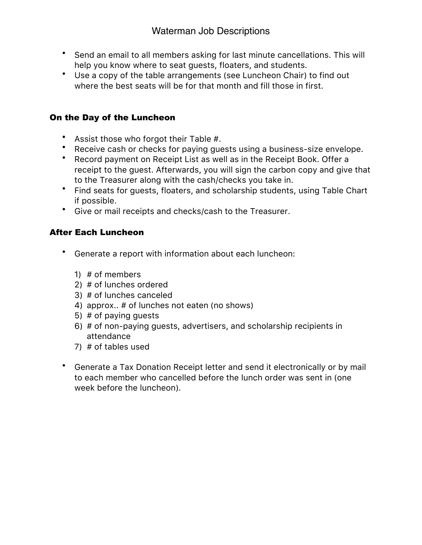- Send an email to all members asking for last minute cancellations. This will help you know where to seat guests, floaters, and students.
- Use a copy of the table arrangements (see Luncheon Chair) to find out where the best seats will be for that month and fill those in first.

# On the Day of the Luncheon

- Assist those who forgot their Table #.
- Receive cash or checks for paying guests using a business-size envelope.
- Record payment on Receipt List as well as in the Receipt Book. Offer a receipt to the guest. Afterwards, you will sign the carbon copy and give that to the Treasurer along with the cash/checks you take in.
- Find seats for guests, floaters, and scholarship students, using Table Chart if possible.
- Give or mail receipts and checks/cash to the Treasurer.

# After Each Luncheon

- Generate a report with information about each luncheon:
	- 1) # of members
	- 2) # of lunches ordered
	- 3) # of lunches canceled
	- 4) approx.. # of lunches not eaten (no shows)
	- 5) # of paying guests
	- 6) # of non-paying guests, advertisers, and scholarship recipients in attendance
	- 7) # of tables used
- Generate a Tax Donation Receipt letter and send it electronically or by mail to each member who cancelled before the lunch order was sent in (one week before the luncheon).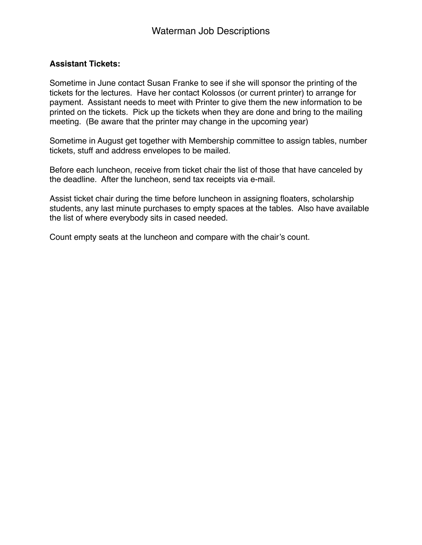### **Assistant Tickets:**

Sometime in June contact Susan Franke to see if she will sponsor the printing of the tickets for the lectures. Have her contact Kolossos (or current printer) to arrange for payment. Assistant needs to meet with Printer to give them the new information to be printed on the tickets. Pick up the tickets when they are done and bring to the mailing meeting. (Be aware that the printer may change in the upcoming year)

Sometime in August get together with Membership committee to assign tables, number tickets, stuff and address envelopes to be mailed.

Before each luncheon, receive from ticket chair the list of those that have canceled by the deadline. After the luncheon, send tax receipts via e-mail.

Assist ticket chair during the time before luncheon in assigning floaters, scholarship students, any last minute purchases to empty spaces at the tables. Also have available the list of where everybody sits in cased needed.

Count empty seats at the luncheon and compare with the chair's count.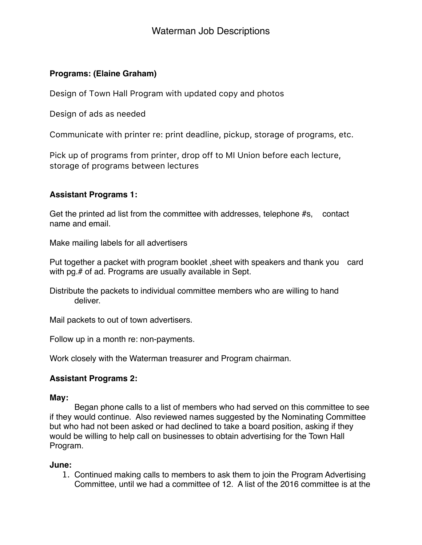# **Programs: (Elaine Graham)**

Design of Town Hall Program with updated copy and photos

Design of ads as needed

Communicate with printer re: print deadline, pickup, storage of programs, etc.

Pick up of programs from printer, drop off to MI Union before each lecture, storage of programs between lectures

# **Assistant Programs 1:**

Get the printed ad list from the committee with addresses, telephone #s, contact name and email.

Make mailing labels for all advertisers

Put together a packet with program booklet ,sheet with speakers and thank you card with pg.# of ad. Programs are usually available in Sept.

Distribute the packets to individual committee members who are willing to hand deliver.

Mail packets to out of town advertisers.

Follow up in a month re: non-payments.

Work closely with the Waterman treasurer and Program chairman.

# **Assistant Programs 2:**

### **May:**

Began phone calls to a list of members who had served on this committee to see if they would continue. Also reviewed names suggested by the Nominating Committee but who had not been asked or had declined to take a board position, asking if they would be willing to help call on businesses to obtain advertising for the Town Hall Program.

### **June:**

1. Continued making calls to members to ask them to join the Program Advertising Committee, until we had a committee of 12. A list of the 2016 committee is at the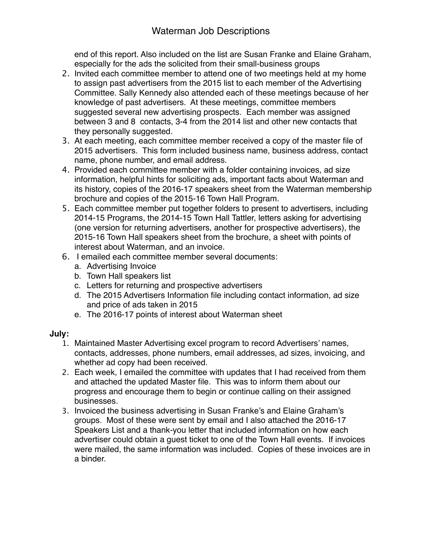# Waterman Job Descriptions

end of this report. Also included on the list are Susan Franke and Elaine Graham, especially for the ads the solicited from their small-business groups

- 2. Invited each committee member to attend one of two meetings held at my home to assign past advertisers from the 2015 list to each member of the Advertising Committee. Sally Kennedy also attended each of these meetings because of her knowledge of past advertisers. At these meetings, committee members suggested several new advertising prospects. Each member was assigned between 3 and 8 contacts, 3-4 from the 2014 list and other new contacts that they personally suggested.
- 3. At each meeting, each committee member received a copy of the master file of 2015 advertisers. This form included business name, business address, contact name, phone number, and email address.
- 4. Provided each committee member with a folder containing invoices, ad size information, helpful hints for soliciting ads, important facts about Waterman and its history, copies of the 2016-17 speakers sheet from the Waterman membership brochure and copies of the 2015-16 Town Hall Program.
- 5. Each committee member put together folders to present to advertisers, including 2014-15 Programs, the 2014-15 Town Hall Tattler, letters asking for advertising (one version for returning advertisers, another for prospective advertisers), the 2015-16 Town Hall speakers sheet from the brochure, a sheet with points of interest about Waterman, and an invoice.
- 6. I emailed each committee member several documents:
	- a. Advertising Invoice
	- b. Town Hall speakers list
	- c. Letters for returning and prospective advertisers
	- d. The 2015 Advertisers Information file including contact information, ad size and price of ads taken in 2015
	- e. The 2016-17 points of interest about Waterman sheet

### **July:**

- 1. Maintained Master Advertising excel program to record Advertisers' names, contacts, addresses, phone numbers, email addresses, ad sizes, invoicing, and whether ad copy had been received.
- 2. Each week, I emailed the committee with updates that I had received from them and attached the updated Master file. This was to inform them about our progress and encourage them to begin or continue calling on their assigned businesses.
- 3. Invoiced the business advertising in Susan Franke's and Elaine Graham's groups. Most of these were sent by email and I also attached the 2016-17 Speakers List and a thank-you letter that included information on how each advertiser could obtain a guest ticket to one of the Town Hall events. If invoices were mailed, the same information was included. Copies of these invoices are in a binder.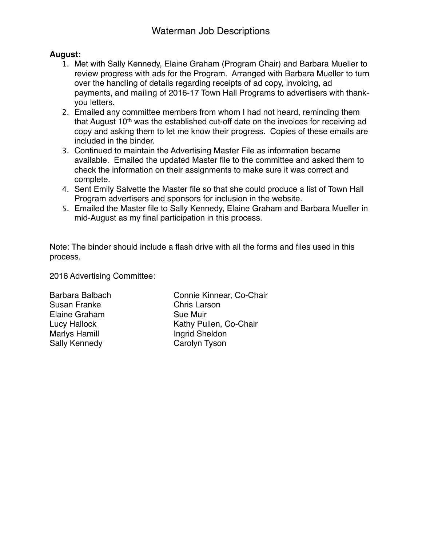### **August:**

- 1. Met with Sally Kennedy, Elaine Graham (Program Chair) and Barbara Mueller to review progress with ads for the Program. Arranged with Barbara Mueller to turn over the handling of details regarding receipts of ad copy, invoicing, ad payments, and mailing of 2016-17 Town Hall Programs to advertisers with thankyou letters.
- 2. Emailed any committee members from whom I had not heard, reminding them that August 10<sup>th</sup> was the established cut-off date on the invoices for receiving ad copy and asking them to let me know their progress. Copies of these emails are included in the binder.
- 3. Continued to maintain the Advertising Master File as information became available. Emailed the updated Master file to the committee and asked them to check the information on their assignments to make sure it was correct and complete.
- 4. Sent Emily Salvette the Master file so that she could produce a list of Town Hall Program advertisers and sponsors for inclusion in the website.
- 5. Emailed the Master file to Sally Kennedy, Elaine Graham and Barbara Mueller in mid-August as my final participation in this process.

Note: The binder should include a flash drive with all the forms and files used in this process.

2016 Advertising Committee:

Susan Franke " " Chris Larson Elaine Graham " Sue Muir Marlys Hamill " " " Ingrid Sheldon Sally Kennedy " " Carolyn Tyson

Barbara Balbach " Connie Kinnear, Co-Chair Lucy Hallock "" " Kathy Pullen, Co-Chair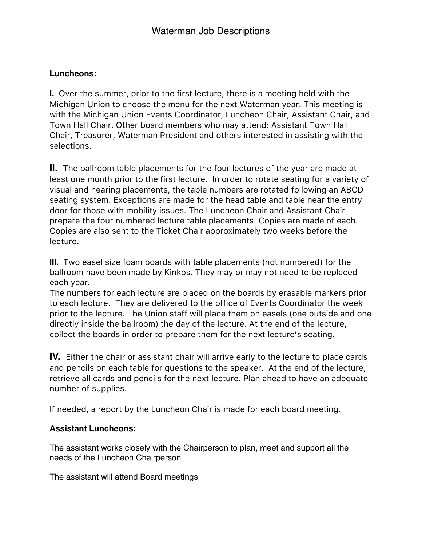# **Luncheons:**

**I.** Over the summer, prior to the first lecture, there is a meeting held with the Michigan Union to choose the menu for the next Waterman year. This meeting is with the Michigan Union Events Coordinator, Luncheon Chair, Assistant Chair, and Town Hall Chair. Other board members who may attend: Assistant Town Hall Chair, Treasurer, Waterman President and others interested in assisting with the selections.

**II.** The ballroom table placements for the four lectures of the year are made at least one month prior to the first lecture. In order to rotate seating for a variety of visual and hearing placements, the table numbers are rotated following an ABCD seating system. Exceptions are made for the head table and table near the entry door for those with mobility issues. The Luncheon Chair and Assistant Chair prepare the four numbered lecture table placements. Copies are made of each. Copies are also sent to the Ticket Chair approximately two weeks before the lecture.

**III.** Two easel size foam boards with table placements (not numbered) for the ballroom have been made by Kinkos. They may or may not need to be replaced each year.

The numbers for each lecture are placed on the boards by erasable markers prior to each lecture. They are delivered to the office of Events Coordinator the week prior to the lecture. The Union staff will place them on easels (one outside and one directly inside the ballroom) the day of the lecture. At the end of the lecture, collect the boards in order to prepare them for the next lecture's seating.

**IV.** Either the chair or assistant chair will arrive early to the lecture to place cards and pencils on each table for questions to the speaker. At the end of the lecture, retrieve all cards and pencils for the next lecture. Plan ahead to have an adequate number of supplies.

If needed, a report by the Luncheon Chair is made for each board meeting.

# **Assistant Luncheons:**

The assistant works closely with the Chairperson to plan, meet and support all the needs of the Luncheon Chairperson

The assistant will attend Board meetings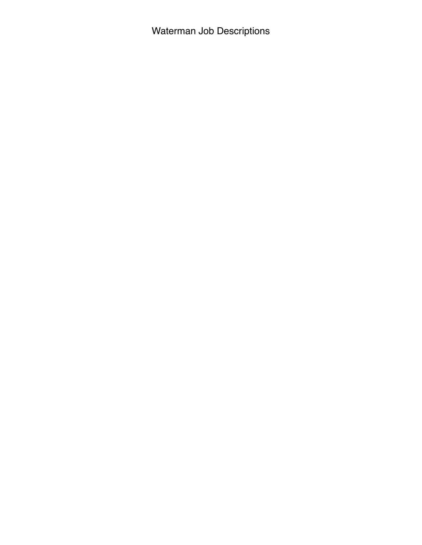Waterman Job Descriptions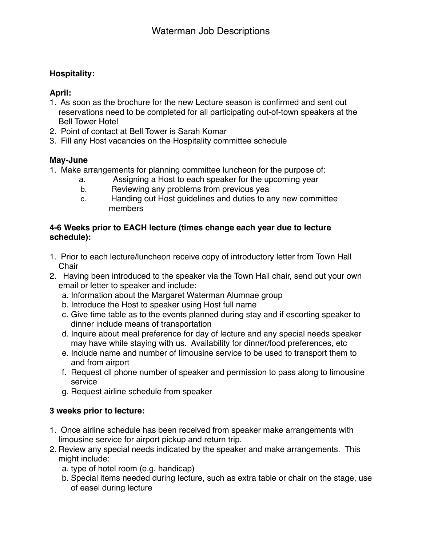# **Hospitality:**

# **April:**

- 1. As soon as the brochure for the new Lecture season is confirmed and sent out reservations need to be completed for all participating out-of-town speakers at the Bell Tower Hotel
- 2. Point of contact at Bell Tower is Sarah Komar
- 3. Fill any Host vacancies on the Hospitality committee schedule

# **May-June**

- 1. Make arrangements for planning committee luncheon for the purpose of:
	- a. Assigning a Host to each speaker for the upcoming year
	- b. Reviewing any problems from previous yea
	- c. Handing out Host guidelines and duties to any new committee members

### **4-6 Weeks prior to EACH lecture (times change each year due to lecture schedule):**

- 1. Prior to each lecture/luncheon receive copy of introductory letter from Town Hall **Chair**
- 2. Having been introduced to the speaker via the Town Hall chair, send out your own email or letter to speaker and include:
	- a. Information about the Margaret Waterman Alumnae group
	- b. Introduce the Host to speaker using Host full name
	- c. Give time table as to the events planned during stay and if escorting speaker to dinner include means of transportation
	- d. Inquire about meal preference for day of lecture and any special needs speaker may have while staying with us. Availability for dinner/food preferences, etc
	- e. Include name and number of limousine service to be used to transport them to and from airport
	- f. Request cll phone number of speaker and permission to pass along to limousine service
	- g. Request airline schedule from speaker

# **3 weeks prior to lecture:**

- 1. Once airline schedule has been received from speaker make arrangements with limousine service for airport pickup and return trip.
- 2. Review any special needs indicated by the speaker and make arrangements. This might include:
	- a. type of hotel room (e.g. handicap)
	- b. Special items needed during lecture, such as extra table or chair on the stage, use of easel during lecture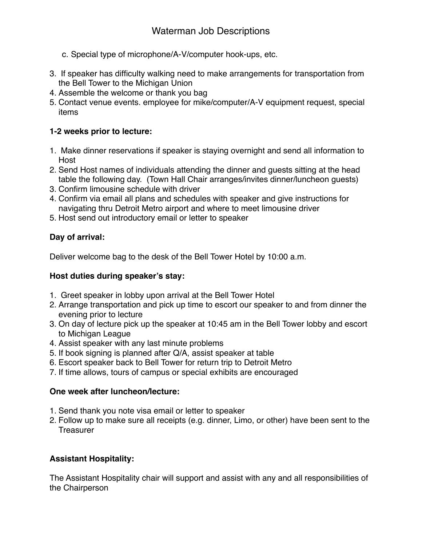- c. Special type of microphone/A-V/computer hook-ups, etc.
- 3. If speaker has difficulty walking need to make arrangements for transportation from the Bell Tower to the Michigan Union
- 4. Assemble the welcome or thank you bag
- 5. Contact venue events. employee for mike/computer/A-V equipment request, special items

# **1-2 weeks prior to lecture:**

- 1. Make dinner reservations if speaker is staying overnight and send all information to Host
- 2. Send Host names of individuals attending the dinner and guests sitting at the head table the following day. (Town Hall Chair arranges/invites dinner/luncheon guests)
- 3. Confirm limousine schedule with driver
- 4. Confirm via email all plans and schedules with speaker and give instructions for navigating thru Detroit Metro airport and where to meet limousine driver
- 5. Host send out introductory email or letter to speaker

# **Day of arrival:**

Deliver welcome bag to the desk of the Bell Tower Hotel by 10:00 a.m.

# **Host duties during speaker's stay:**

- 1. Greet speaker in lobby upon arrival at the Bell Tower Hotel
- 2. Arrange transportation and pick up time to escort our speaker to and from dinner the evening prior to lecture
- 3. On day of lecture pick up the speaker at 10:45 am in the Bell Tower lobby and escort to Michigan League
- 4. Assist speaker with any last minute problems
- 5. If book signing is planned after Q/A, assist speaker at table
- 6. Escort speaker back to Bell Tower for return trip to Detroit Metro
- 7. If time allows, tours of campus or special exhibits are encouraged

# **One week after luncheon/lecture:**

- 1. Send thank you note visa email or letter to speaker
- 2. Follow up to make sure all receipts (e.g. dinner, Limo, or other) have been sent to the Treasurer

# **Assistant Hospitality:**

The Assistant Hospitality chair will support and assist with any and all responsibilities of the Chairperson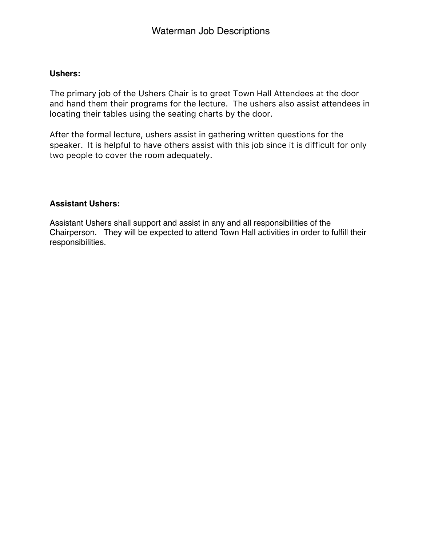# **Ushers:**

The primary job of the Ushers Chair is to greet Town Hall Attendees at the door and hand them their programs for the lecture. The ushers also assist attendees in locating their tables using the seating charts by the door.

After the formal lecture, ushers assist in gathering written questions for the speaker. It is helpful to have others assist with this job since it is difficult for only two people to cover the room adequately.

# **Assistant Ushers:**

Assistant Ushers shall support and assist in any and all responsibilities of the Chairperson. They will be expected to attend Town Hall activities in order to fulfill their responsibilities.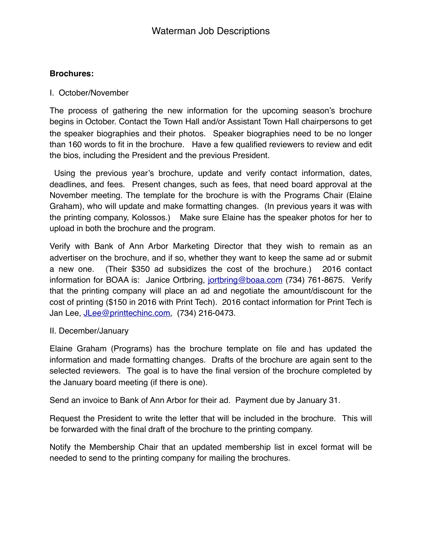# **Brochures:**

### I. October/November

The process of gathering the new information for the upcoming season's brochure begins in October. Contact the Town Hall and/or Assistant Town Hall chairpersons to get the speaker biographies and their photos. Speaker biographies need to be no longer than 160 words to fit in the brochure. Have a few qualified reviewers to review and edit the bios, including the President and the previous President.

 Using the previous year's brochure, update and verify contact information, dates, deadlines, and fees.Present changes, such as fees, that need board approval at the November meeting. The template for the brochure is with the Programs Chair (Elaine Graham), who will update and make formatting changes. (In previous years it was with the printing company, Kolossos.) Make sure Elaine has the speaker photos for her to upload in both the brochure and the program.

Verify with Bank of Ann Arbor Marketing Director that they wish to remain as an advertiser on the brochure, and if so, whether they want to keep the same ad or submit a new one. (Their \$350 ad subsidizes the cost of the brochure.) 2016 contact information for BOAA is: Janice Ortbring, [jortbring@boaa.com](mailto:jortbring@boaa.com) (734) 761-8675. Verify that the printing company will place an ad and negotiate the amount/discount for the cost of printing (\$150 in 2016 with Print Tech). 2016 contact information for Print Tech is Jan Lee, [JLee@printtechinc.com,](mailto:JLee@printtechinc.com) (734) 216-0473.

### II. December/January

Elaine Graham (Programs) has the brochure template on file and has updated the information and made formatting changes. Drafts of the brochure are again sent to the selected reviewers. The goal is to have the final version of the brochure completed by the January board meeting (if there is one).

Send an invoice to Bank of Ann Arbor for their ad. Payment due by January 31.

Request the President to write the letter that will be included in the brochure. This will be forwarded with the final draft of the brochure to the printing company.

Notify the Membership Chair that an updated membership list in excel format will be needed to send to the printing company for mailing the brochures.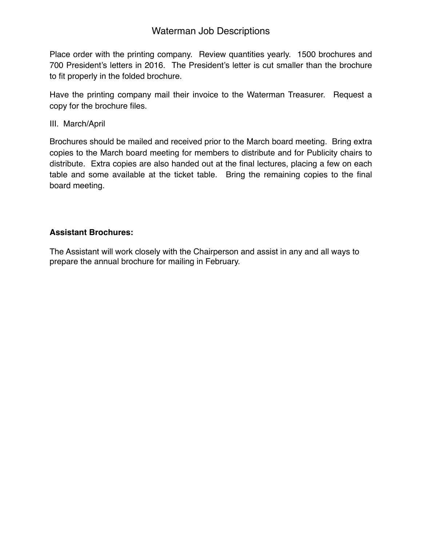# Waterman Job Descriptions

Place order with the printing company. Review quantities yearly. 1500 brochures and 700 President's letters in 2016. The President's letter is cut smaller than the brochure to fit properly in the folded brochure.

Have the printing company mail their invoice to the Waterman Treasurer. Request a copy for the brochure files.

III. March/April

Brochures should be mailed and received prior to the March board meeting. Bring extra copies to the March board meeting for members to distribute and for Publicity chairs to distribute. Extra copies are also handed out at the final lectures, placing a few on each table and some available at the ticket table. Bring the remaining copies to the final board meeting.

# **Assistant Brochures:**

The Assistant will work closely with the Chairperson and assist in any and all ways to prepare the annual brochure for mailing in February.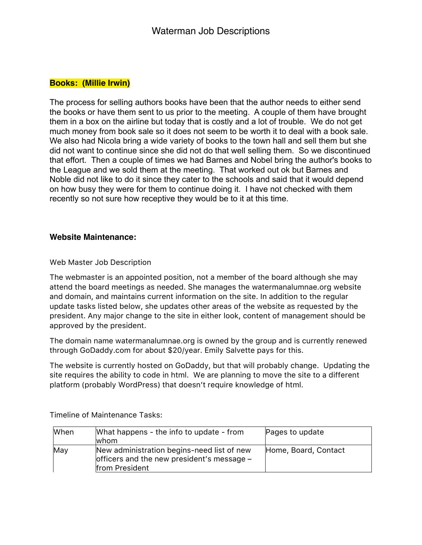### **Books: (Millie Irwin)**

The process for selling authors books have been that the author needs to either send the books or have them sent to us prior to the meeting. A couple of them have brought them in a box on the airline but today that is costly and a lot of trouble. We do not get much money from book sale so it does not seem to be worth it to deal with a book sale. We also had Nicola bring a wide variety of books to the town hall and sell them but she did not want to continue since she did not do that well selling them. So we discontinued that effort. Then a couple of times we had Barnes and Nobel bring the author's books to the League and we sold them at the meeting. That worked out ok but Barnes and Noble did not like to do it since they cater to the schools and said that it would depend on how busy they were for them to continue doing it. I have not checked with them recently so not sure how receptive they would be to it at this time.

#### **Website Maintenance:**

Web Master Job Description

The webmaster is an appointed position, not a member of the board although she may attend the board meetings as needed. She manages the watermanalumnae.org website and domain, and maintains current information on the site. In addition to the regular update tasks listed below, she updates other areas of the website as requested by the president. Any major change to the site in either look, content of management should be approved by the president.

The domain name watermanalumnae.org is owned by the group and is currently renewed through GoDaddy.com for about \$20/year. Emily Salvette pays for this.

The website is currently hosted on GoDaddy, but that will probably change. Updating the site requires the ability to code in html. We are planning to move the site to a different platform (probably WordPress) that doesn't require knowledge of html.

| When | What happens - the info to update - from<br>lwhom.                                                         | Pages to update      |
|------|------------------------------------------------------------------------------------------------------------|----------------------|
| May  | New administration begins-need list of new<br>officers and the new president's message -<br>from President | Home, Board, Contact |

Timeline of Maintenance Tasks: